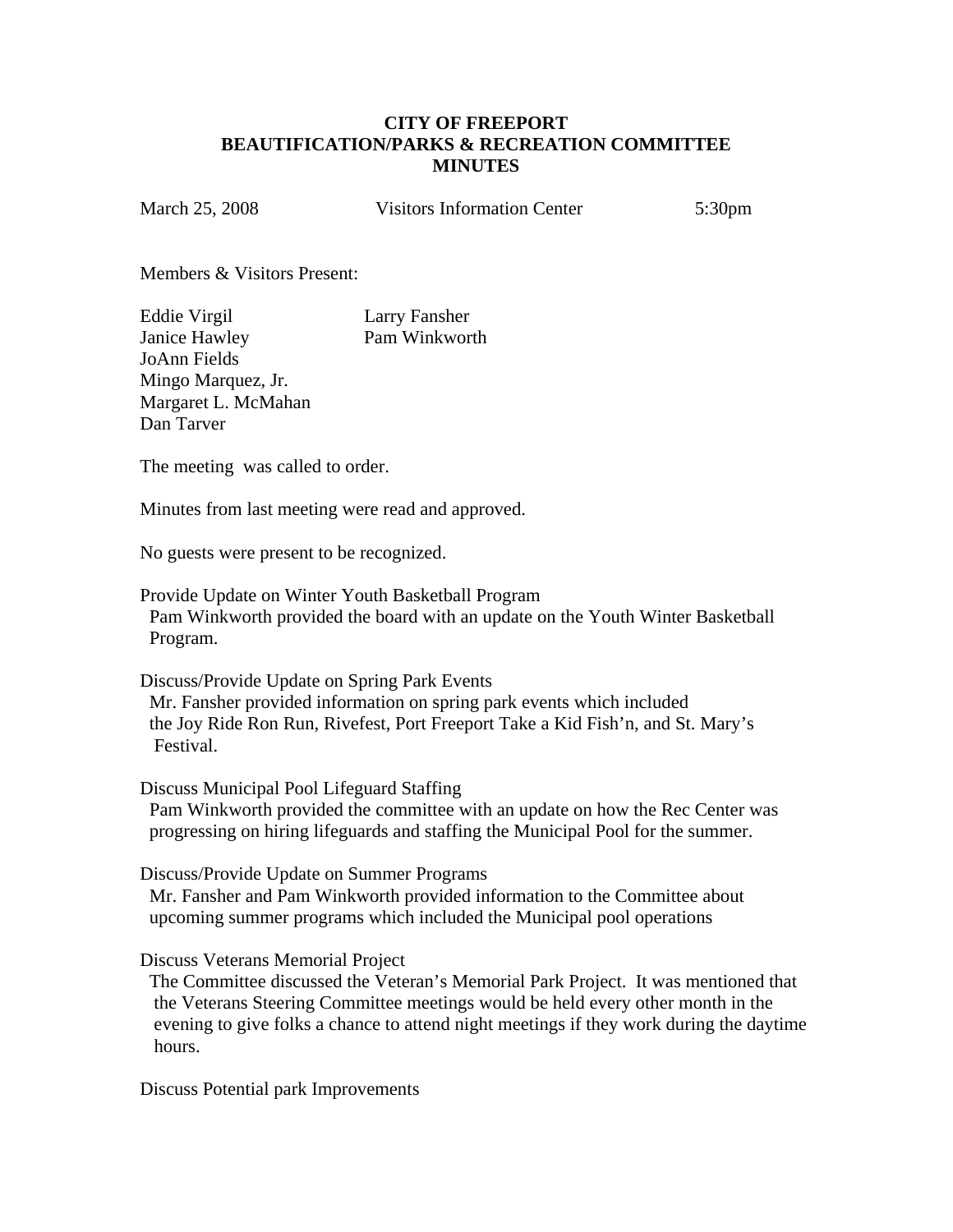## **CITY OF FREEPORT BEAUTIFICATION/PARKS & RECREATION COMMITTEE MINUTES**

March 25, 2008 Visitors Information Center 5:30pm

Members & Visitors Present:

Eddie Virgil Larry Fansher Janice Hawley Pam Winkworth JoAnn Fields Mingo Marquez, Jr. Margaret L. McMahan Dan Tarver

The meeting was called to order.

Minutes from last meeting were read and approved.

No guests were present to be recognized.

Provide Update on Winter Youth Basketball Program Pam Winkworth provided the board with an update on the Youth Winter Basketball Program.

Discuss/Provide Update on Spring Park Events Mr. Fansher provided information on spring park events which included the Joy Ride Ron Run, Rivefest, Port Freeport Take a Kid Fish'n, and St. Mary's Festival.

Discuss Municipal Pool Lifeguard Staffing Pam Winkworth provided the committee with an update on how the Rec Center was progressing on hiring lifeguards and staffing the Municipal Pool for the summer.

Discuss/Provide Update on Summer Programs Mr. Fansher and Pam Winkworth provided information to the Committee about upcoming summer programs which included the Municipal pool operations

Discuss Veterans Memorial Project

 The Committee discussed the Veteran's Memorial Park Project. It was mentioned that the Veterans Steering Committee meetings would be held every other month in the evening to give folks a chance to attend night meetings if they work during the daytime hours.

Discuss Potential park Improvements